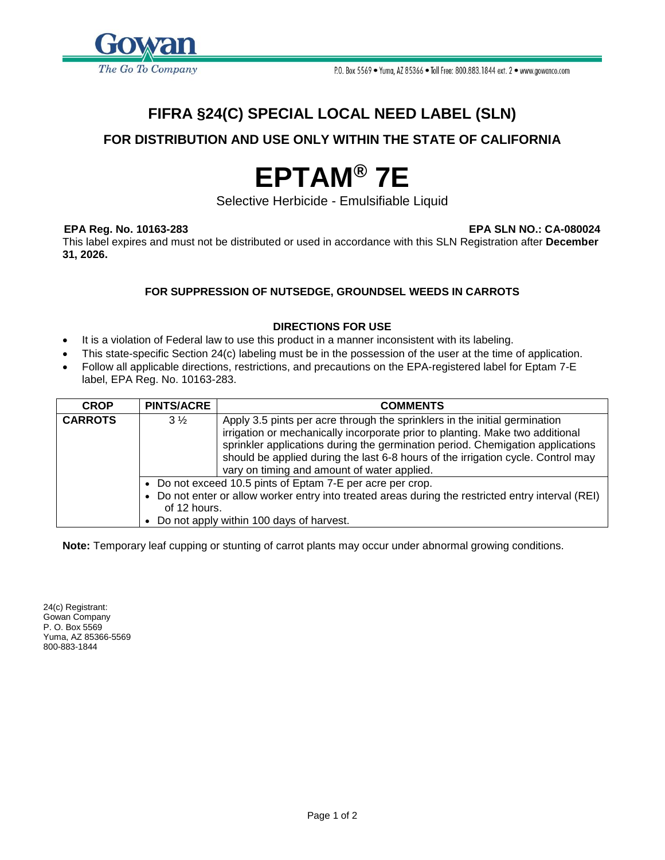

# **FIFRA §24(C) SPECIAL LOCAL NEED LABEL (SLN)**

## **FOR DISTRIBUTION AND USE ONLY WITHIN THE STATE OF CALIFORNIA**

# **EPTAM® 7E**

Selective Herbicide - Emulsifiable Liquid

**EPA Reg. No. 10163-283 EPA SLN NO.: CA-080024**

This label expires and must not be distributed or used in accordance with this SLN Registration after **December 31, 2026.** 

### **FOR SUPPRESSION OF NUTSEDGE, GROUNDSEL WEEDS IN CARROTS**

#### **DIRECTIONS FOR USE**

- It is a violation of Federal law to use this product in a manner inconsistent with its labeling.
- This state-specific Section 24(c) labeling must be in the possession of the user at the time of application.
- Follow all applicable directions, restrictions, and precautions on the EPA-registered label for Eptam 7-E label, EPA Reg. No. 10163-283.

| <b>CROP</b>    | <b>PINTS/ACRE</b> | <b>COMMENTS</b>                                                                                                                                                  |  |
|----------------|-------------------|------------------------------------------------------------------------------------------------------------------------------------------------------------------|--|
| <b>CARROTS</b> | $3\frac{1}{2}$    | Apply 3.5 pints per acre through the sprinklers in the initial germination                                                                                       |  |
|                |                   | irrigation or mechanically incorporate prior to planting. Make two additional                                                                                    |  |
|                |                   | sprinkler applications during the germination period. Chemigation applications                                                                                   |  |
|                |                   | should be applied during the last 6-8 hours of the irrigation cycle. Control may                                                                                 |  |
|                |                   | vary on timing and amount of water applied.                                                                                                                      |  |
|                |                   | • Do not exceed 10.5 pints of Eptam 7-E per acre per crop.<br>• Do not enter or allow worker entry into treated areas during the restricted entry interval (REI) |  |
|                |                   |                                                                                                                                                                  |  |
|                | of 12 hours.      |                                                                                                                                                                  |  |
|                |                   | • Do not apply within 100 days of harvest.                                                                                                                       |  |

**Note:** Temporary leaf cupping or stunting of carrot plants may occur under abnormal growing conditions.

24(c) Registrant: Gowan Company P. O. Box 5569 Yuma, AZ 85366-5569 800-883-1844